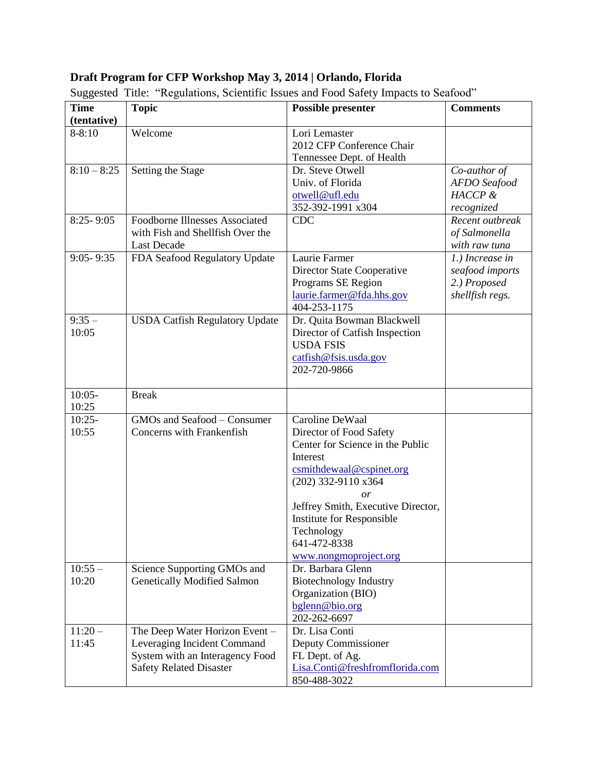## **Draft Program for CFP Workshop May 3, 2014 | Orlando, Florida**

| <b>Time</b>   | <b>Topic</b>                          | <b>Possible presenter</b>          | <b>Comments</b> |
|---------------|---------------------------------------|------------------------------------|-----------------|
| (tentative)   |                                       |                                    |                 |
| $8 - 8:10$    | Welcome                               | Lori Lemaster                      |                 |
|               |                                       | 2012 CFP Conference Chair          |                 |
|               |                                       | Tennessee Dept. of Health          |                 |
| $8:10 - 8:25$ | Setting the Stage                     | Dr. Steve Otwell                   | Co-author of    |
|               |                                       | Univ. of Florida                   | AFDO Seafood    |
|               |                                       | otwell@ufl.edu                     | HACCP &         |
|               |                                       | 352-392-1991 x304                  | recognized      |
| $8:25 - 9:05$ | <b>Foodborne Illnesses Associated</b> | <b>CDC</b>                         | Recent outbreak |
|               | with Fish and Shellfish Over the      |                                    | of Salmonella   |
|               | <b>Last Decade</b>                    |                                    | with raw tuna   |
| $9:05 - 9:35$ | FDA Seafood Regulatory Update         | Laurie Farmer                      | 1.) Increase in |
|               |                                       | Director State Cooperative         | seafood imports |
|               |                                       | Programs SE Region                 | 2.) Proposed    |
|               |                                       | laurie.farmer@fda.hhs.gov          | shellfish regs. |
|               |                                       | 404-253-1175                       |                 |
| $9:35-$       | <b>USDA Catfish Regulatory Update</b> | Dr. Quita Bowman Blackwell         |                 |
| 10:05         |                                       | Director of Catfish Inspection     |                 |
|               |                                       | <b>USDA FSIS</b>                   |                 |
|               |                                       | catfish@fsis.usda.gov              |                 |
|               |                                       | 202-720-9866                       |                 |
| $10:05-$      | <b>Break</b>                          |                                    |                 |
| 10:25         |                                       |                                    |                 |
| $10:25-$      | GMOs and Seafood - Consumer           | Caroline DeWaal                    |                 |
| 10:55         | Concerns with Frankenfish             | Director of Food Safety            |                 |
|               |                                       | Center for Science in the Public   |                 |
|               |                                       | Interest                           |                 |
|               |                                       | csmithdewaal@cspinet.org           |                 |
|               |                                       | (202) 332-9110 x364                |                 |
|               |                                       | or                                 |                 |
|               |                                       | Jeffrey Smith, Executive Director, |                 |
|               |                                       | Institute for Responsible          |                 |
|               |                                       | Technology                         |                 |
|               |                                       | 641-472-8338                       |                 |
|               |                                       | www.nongmoproject.org              |                 |
| $10:55 -$     | Science Supporting GMOs and           | Dr. Barbara Glenn                  |                 |
| 10:20         | <b>Genetically Modified Salmon</b>    | <b>Biotechnology Industry</b>      |                 |
|               |                                       | Organization (BIO)                 |                 |
|               |                                       | bglenn@bio.org                     |                 |
|               |                                       | 202-262-6697                       |                 |
| $11:20-$      | The Deep Water Horizon Event -        | Dr. Lisa Conti                     |                 |
| 11:45         | Leveraging Incident Command           | Deputy Commissioner                |                 |
|               | System with an Interagency Food       | FL Dept. of Ag.                    |                 |
|               | <b>Safety Related Disaster</b>        | Lisa.Conti@freshfromflorida.com    |                 |
|               |                                       | 850-488-3022                       |                 |

Suggested Title: "Regulations, Scientific Issues and Food Safety Impacts to Seafood"